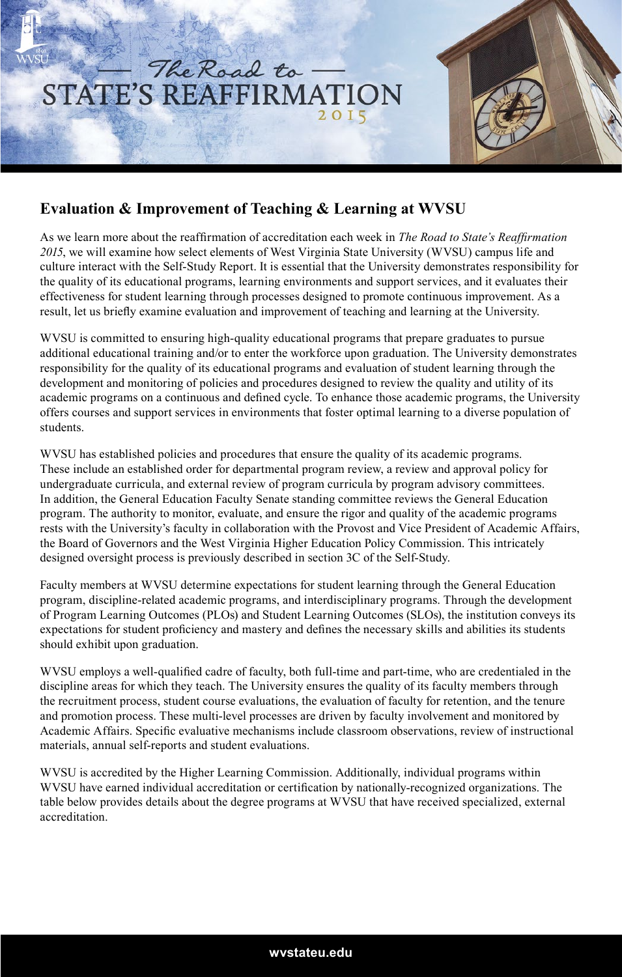

## **Evaluation & Improvement of Teaching & Learning at WVSU**

As we learn more about the reaffirmation of accreditation each week in *The Road to State's Reaffirmation 2015*, we will examine how select elements of West Virginia State University (WVSU) campus life and culture interact with the Self-Study Report. It is essential that the University demonstrates responsibility for the quality of its educational programs, learning environments and support services, and it evaluates their effectiveness for student learning through processes designed to promote continuous improvement. As a result, let us briefly examine evaluation and improvement of teaching and learning at the University.

WVSU is committed to ensuring high-quality educational programs that prepare graduates to pursue additional educational training and/or to enter the workforce upon graduation. The University demonstrates responsibility for the quality of its educational programs and evaluation of student learning through the development and monitoring of policies and procedures designed to review the quality and utility of its academic programs on a continuous and defined cycle. To enhance those academic programs, the University offers courses and support services in environments that foster optimal learning to a diverse population of students.

WVSU has established policies and procedures that ensure the quality of its academic programs. These include an established order for departmental program review, a review and approval policy for undergraduate curricula, and external review of program curricula by program advisory committees. In addition, the General Education Faculty Senate standing committee reviews the General Education program. The authority to monitor, evaluate, and ensure the rigor and quality of the academic programs rests with the University's faculty in collaboration with the Provost and Vice President of Academic Affairs, the Board of Governors and the West Virginia Higher Education Policy Commission. This intricately designed oversight process is previously described in section 3C of the Self-Study.

Faculty members at WVSU determine expectations for student learning through the General Education program, discipline-related academic programs, and interdisciplinary programs. Through the development of Program Learning Outcomes (PLOs) and Student Learning Outcomes (SLOs), the institution conveys its expectations for student proficiency and mastery and defines the necessary skills and abilities its students should exhibit upon graduation.

WVSU employs a well-qualified cadre of faculty, both full-time and part-time, who are credentialed in the discipline areas for which they teach. The University ensures the quality of its faculty members through the recruitment process, student course evaluations, the evaluation of faculty for retention, and the tenure and promotion process. These multi-level processes are driven by faculty involvement and monitored by Academic Affairs. Specific evaluative mechanisms include classroom observations, review of instructional materials, annual self-reports and student evaluations.

WVSU is accredited by the Higher Learning Commission. Additionally, individual programs within WVSU have earned individual accreditation or certification by nationally-recognized organizations. The table below provides details about the degree programs at WVSU that have received specialized, external accreditation.